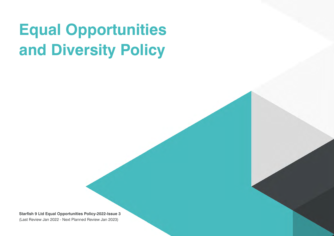## **Equal Opportunities and Diversity Policy**

**Starfish 9 Ltd Equal Opportunities Policy-2022-Issue 3** (Last Review Jan 2022 - Next Planned Review Jan 2023)